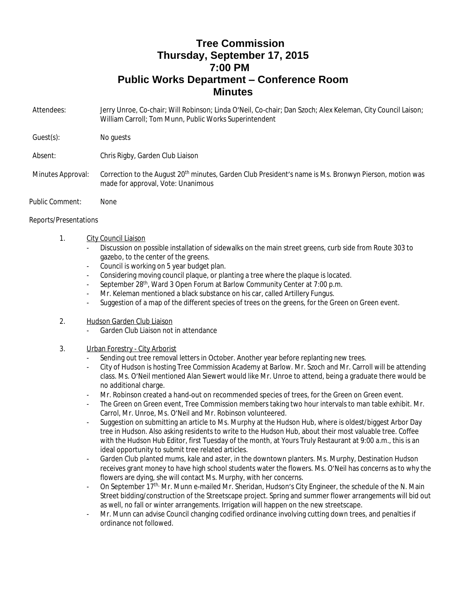## **Tree Commission Thursday, September 17, 2015 7:00 PM Public Works Department – Conference Room Minutes**

Attendees: Jerry Unroe, Co-chair; Will Robinson; Linda O'Neil, Co-chair; Dan Szoch; Alex Keleman, City Council Laison; William Carroll; Tom Munn, Public Works Superintendent

Guest(s): No quests

Absent: Chris Rigby, Garden Club Liaison

- Minutes Approval: Correction to the August 20<sup>th</sup> minutes, Garden Club President's name is Ms. Bronwyn Pierson, motion was made for approval, Vote: Unanimous
- Public Comment: None

## Reports/Presentations

- 1. City Council Liaison
	- Discussion on possible installation of sidewalks on the main street greens, curb side from Route 303 to gazebo, to the center of the greens.
	- Council is working on 5 year budget plan.
	- Considering moving council plaque, or planting a tree where the plaque is located.
	- September 28<sup>th</sup>, Ward 3 Open Forum at Barlow Community Center at 7:00 p.m.
	- Mr. Keleman mentioned a black substance on his car, called Artillery Fungus.
	- Suggestion of a map of the different species of trees on the greens, for the Green on Green event.
- 2. Hudson Garden Club Liaison
	- Garden Club Liaison not in attendance
- 3. Urban Forestry City Arborist
	- Sending out tree removal letters in October. Another year before replanting new trees.
	- City of Hudson is hosting Tree Commission Academy at Barlow. Mr. Szoch and Mr. Carroll will be attending class. Ms. O'Neil mentioned Alan Siewert would like Mr. Unroe to attend, being a graduate there would be no additional charge.
	- Mr. Robinson created a hand-out on recommended species of trees, for the Green on Green event.
	- The Green on Green event, Tree Commission members taking two hour intervals to man table exhibit. Mr. Carrol, Mr. Unroe, Ms. O'Neil and Mr. Robinson volunteered.
	- Suggestion on submitting an article to Ms. Murphy at the Hudson Hub, where is oldest/biggest Arbor Day tree in Hudson. Also asking residents to write to the Hudson Hub, about their most valuable tree. Coffee with the Hudson Hub Editor, first Tuesday of the month, at Yours Truly Restaurant at 9:00 a.m., this is an ideal opportunity to submit tree related articles.
	- Garden Club planted mums, kale and aster, in the downtown planters. Ms. Murphy, Destination Hudson receives grant money to have high school students water the flowers. Ms. O'Neil has concerns as to why the flowers are dying, she will contact Ms. Murphy, with her concerns.
	- On September 17<sup>th,</sup> Mr. Munn e-mailed Mr. Sheridan, Hudson's City Engineer, the schedule of the N. Main Street bidding/construction of the Streetscape project. Spring and summer flower arrangements will bid out as well, no fall or winter arrangements. Irrigation will happen on the new streetscape.
	- Mr. Munn can advise Council changing codified ordinance involving cutting down trees, and penalties if ordinance not followed.